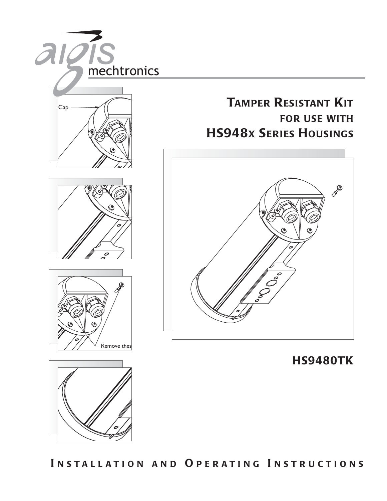

INSTALLATION AND OPERATING INSTRUCTIONS